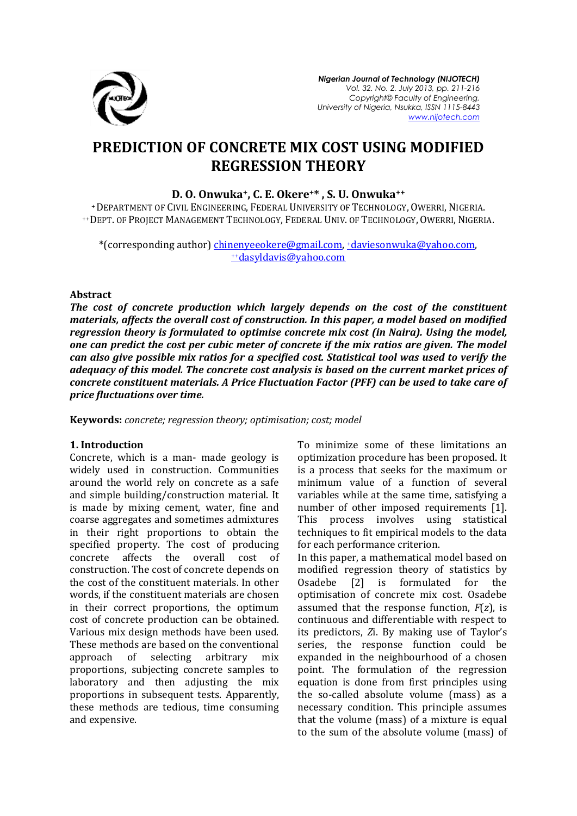

# **PREDICTION OF CONCRETE MIX COST USING MODIFIED REGRESSION THEORY**

## **D. O. Onwuka+, C. E. Okere+\* , S. U. Onwuka++**

<sup>+</sup>DEPARTMENT OF CIVIL ENGINEERING, FEDERAL UNIVERSITY OF TECHNOLOGY, OWERRI, NIGERIA. ++DEPT. OF PROJECT MANAGEMENT TECHNOLOGY, FEDERAL UNIV. OF TECHNOLOGY, OWERRI, NIGERIA.

\*(corresponding author) [chinenyeeokere@gmail.com,](mailto:chinenyeeokere@gmail.com) +daviesonwuka@yahoo.com, ++[dasyldavis@yahoo.com](mailto:++dasyldavis@yahoo.com)

#### **Abstract**

*The cost of concrete production which largely depends on the cost of the constituent materials, affects the overall cost of construction. In this paper, a model based on modified regression theory is formulated to optimise concrete mix cost (in Naira). Using the model, one can predict the cost per cubic meter of concrete if the mix ratios are given. The model can also give possible mix ratios for a specified cost. Statistical tool was used to verify the adequacy of this model. The concrete cost analysis is based on the current market prices of concrete constituent materials. A Price Fluctuation Factor (PFF) can be used to take care of price fluctuations over time.* 

**Keywords:** *concrete; regression theory; optimisation; cost; model*

## **1. Introduction**

Concrete, which is a man- made geology is widely used in construction. Communities around the world rely on concrete as a safe and simple building/construction material. It is made by mixing cement, water, fine and coarse aggregates and sometimes admixtures in their right proportions to obtain the specified property. The cost of producing concrete affects the overall cost of construction. The cost of concrete depends on the cost of the constituent materials. In other words, if the constituent materials are chosen in their correct proportions, the optimum cost of concrete production can be obtained. Various mix design methods have been used. These methods are based on the conventional approach of selecting arbitrary mix proportions, subjecting concrete samples to laboratory and then adjusting the mix proportions in subsequent tests. Apparently, these methods are tedious, time consuming and expensive.

To minimize some of these limitations an optimization procedure has been proposed. It is a process that seeks for the maximum or minimum value of a function of several variables while at the same time, satisfying a number of other imposed requirements [1]. This process involves using statistical techniques to fit empirical models to the data for each performance criterion.

In this paper, a mathematical model based on modified regression theory of statistics by Osadebe [2] is formulated for the optimisation of concrete mix cost. Osadebe assumed that the response function, *F*(*z*), is continuous and differentiable with respect to its predictors, *Z*i. By making use of Taylor's series, the response function could be expanded in the neighbourhood of a chosen point. The formulation of the regression equation is done from first principles using the so-called absolute volume (mass) as a necessary condition. This principle assumes that the volume (mass) of a mixture is equal to the sum of the absolute volume (mass) of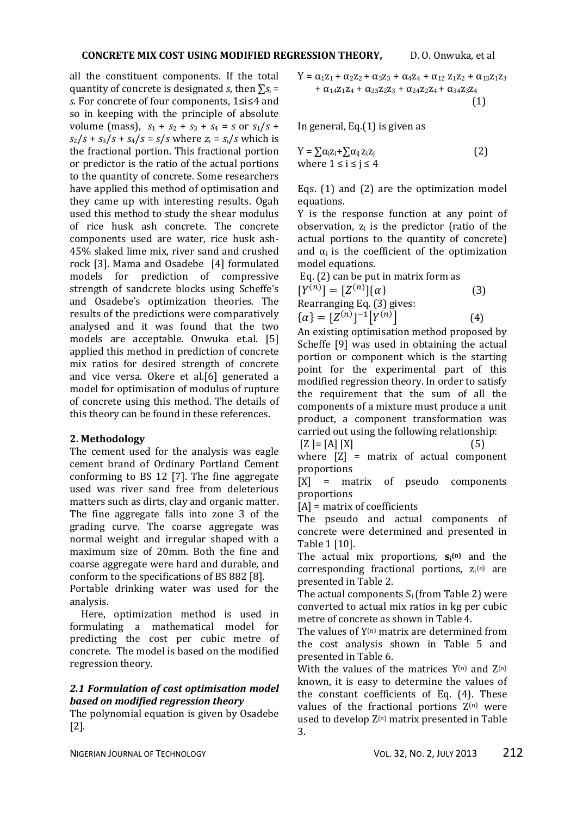all the constituent components. If the total quantity of concrete is designated *s*, then  $\Sigma$ <sub>*S*i</sub> = *s*. For concrete of four components, 1≤i≤4 and so in keeping with the principle of absolute volume (mass),  $s_1 + s_2 + s_3 + s_4 = s$  or  $s_1/s$  +  $s_2/s + s_3/s + s_4/s = s/s$  where  $z_i = s_i/s$  which is the fractional portion. This fractional portion or predictor is the ratio of the actual portions to the quantity of concrete. Some researchers have applied this method of optimisation and they came up with interesting results. Ogah used this method to study the shear modulus of rice husk ash concrete. The concrete components used are water, rice husk ash-45% slaked lime mix, river sand and crushed rock [3]. Mama and Osadebe [4] formulated models for prediction of compressive strength of sandcrete blocks using Scheffe's and Osadebe's optimization theories. The results of the predictions were comparatively analysed and it was found that the two models are acceptable. Onwuka et.al. [5] applied this method in prediction of concrete mix ratios for desired strength of concrete and vice versa. Okere et al.[6] generated a model for optimisation of modulus of rupture of concrete using this method. The details of this theory can be found in these references.

# **2. Methodology**

The cement used for the analysis was eagle cement brand of Ordinary Portland Cement conforming to BS 12 [7]. The fine aggregate used was river sand free from deleterious matters such as dirts, clay and organic matter. The fine aggregate falls into zone 3 of the grading curve. The coarse aggregate was normal weight and irregular shaped with a maximum size of 20mm. Both the fine and coarse aggregate were hard and durable, and conform to the specifications of BS 882 [8].

Portable drinking water was used for the analysis.

 Here, optimization method is used in formulating a mathematical model for predicting the cost per cubic metre of concrete. The model is based on the modified regression theory.

## *2.1 Formulation of cost optimisation model based on modified regression theory*

The polynomial equation is given by Osadebe [2].

$$
Y = \alpha_1 z_1 + \alpha_2 z_2 + \alpha_3 z_3 + \alpha_4 z_4 + \alpha_{12} z_1 z_2 + \alpha_{13} z_1 z_3 + \alpha_{14} z_1 z_4 + \alpha_{23} z_2 z_3 + \alpha_{24} z_2 z_4 + \alpha_{34} z_3 z_4
$$
\n(1)

In general, Eq.(1) is given as

$$
Y = \sum \alpha_i z_i + \sum \alpha_{ij} z_i z_j
$$
  
where  $1 \le i \le j \le 4$  (2)

Eqs. (1) and (2) are the optimization model equations.

Y is the response function at any point of observation,  $z_i$  is the predictor (ratio of the actual portions to the quantity of concrete) and  $\alpha_i$  is the coefficient of the optimization model equations.

Eq. (2) can be put in matrix form as  
\n
$$
[Y^{(n)}] = [Z^{(n)}](\alpha)
$$
\nRearranging Eq. (3) gives:  
\n
$$
\{\alpha\} = [Z^{(n)}]^{-1}[Y^{(n)}]
$$
\n(4)

An existing optimisation method proposed by Scheffe [9] was used in obtaining the actual portion or component which is the starting point for the experimental part of this modified regression theory. In order to satisfy the requirement that the sum of all the components of a mixture must produce a unit product, a component transformation was carried out using the following relationship:  $[Z] = [A] [X]$  (5)

where  $[Z]$  = matrix of actual component proportions

[X] = matrix of pseudo components proportions

[A] = matrix of coefficients

The pseudo and actual components of concrete were determined and presented in Table 1 [10].

The actual mix proportions, **s<sup>i</sup> (n)** and the corresponding fractional portions,  $z_i^{(n)}$  are presented in Table 2.

The actual components  $S_i$  (from Table 2) were converted to actual mix ratios in kg per cubic metre of concrete as shown in Table 4.

The values of  $Y^{(n)}$  matrix are determined from the cost analysis shown in Table 5 and presented in Table 6.

With the values of the matrices  $Y^{(n)}$  and  $Z^{(n)}$ known, it is easy to determine the values of the constant coefficients of Eq. (4). These values of the fractional portions  $Z^{(n)}$  were used to develop  $Z^{(n)}$  matrix presented in Table 3.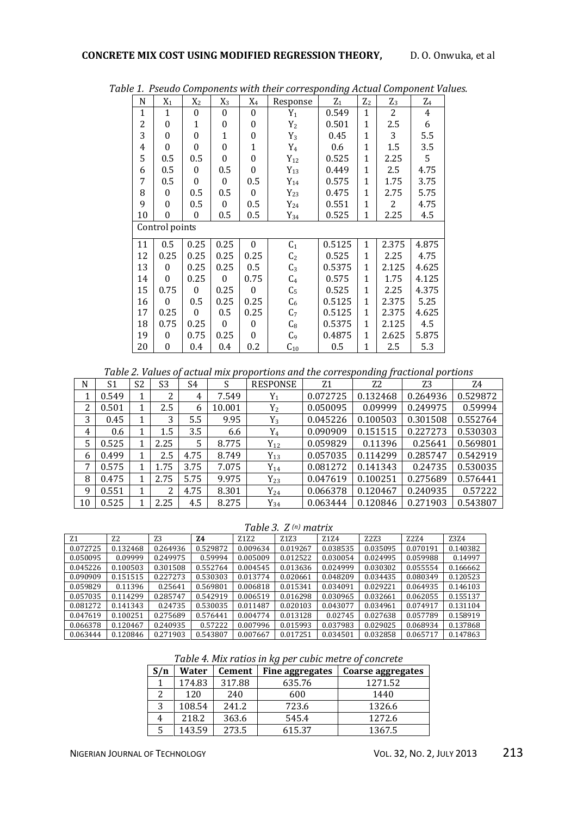| N  | $X_1$            | $X_2$            | $X_3$        | $X_4$            | Response       | ັ<br>${\rm Z_1}$ | $Z_2$        | $Z_3$ | $\mathrm{Z}_4$ |
|----|------------------|------------------|--------------|------------------|----------------|------------------|--------------|-------|----------------|
| 1  | $\mathbf{1}$     | $\mathbf{0}$     | $\theta$     | $\boldsymbol{0}$ | $Y_1$          | 0.549            | 1            | 2     | 4              |
| 2  | $\Omega$         | $\mathbf{1}$     | $\theta$     | $\theta$         | $Y_2$          | 0.501            | 1            | 2.5   | 6              |
| 3  | $\theta$         | $\boldsymbol{0}$ | $\mathbf{1}$ | 0                | $Y_3$          | 0.45             | $\mathbf 1$  | 3     | 5.5            |
| 4  | $\theta$         | 0                | $\theta$     | 1                | $Y_4$          | 0.6              | 1            | 1.5   | 3.5            |
| 5  | 0.5              | $0.5\,$          | $\theta$     | $\theta$         | $Y_{12}$       | 0.525            | 1            | 2.25  | 5              |
| 6  | 0.5              | $\mathbf{0}$     | 0.5          | $\theta$         | $Y_{13}$       | 0.449            | 1            | 2.5   | 4.75           |
| 7  | 0.5              | $\boldsymbol{0}$ | $\theta$     | $0.5\,$          | $Y_{14}$       | 0.575            | $\mathbf 1$  | 1.75  | 3.75           |
| 8  | 0                | $0.5\,$          | 0.5          | $\theta$         | $Y_{23}$       | 0.475            | $\mathbf{1}$ | 2.75  | 5.75           |
| 9  | $\theta$         | 0.5              | $\theta$     | 0.5              | $Y_{24}$       | 0.551            | $\mathbf{1}$ | 2     | 4.75           |
| 10 | $\theta$         | 0                | 0.5          | 0.5              | $Y_{34}$       | 0.525            | 1            | 2.25  | 4.5            |
|    | Control points   |                  |              |                  |                |                  |              |       |                |
| 11 | 0.5              | 0.25             | 0.25         | $\theta$         | C <sub>1</sub> | 0.5125           | 1            | 2.375 | 4.875          |
| 12 | 0.25             | 0.25             | 0.25         | 0.25             | C <sub>2</sub> | 0.525            | 1            | 2.25  | 4.75           |
| 13 | $\theta$         | 0.25             | 0.25         | 0.5              | C <sub>3</sub> | 0.5375           | $\mathbf{1}$ | 2.125 | 4.625          |
| 14 | $\theta$         | 0.25             | $\theta$     | 0.75             | C <sub>4</sub> | 0.575            | 1            | 1.75  | 4.125          |
| 15 | 0.75             | $\mathbf{0}$     | 0.25         | $\theta$         | C <sub>5</sub> | 0.525            | $\mathbf{1}$ | 2.25  | 4.375          |
| 16 | $\Omega$         | 0.5              | 0.25         | 0.25             | C <sub>6</sub> | 0.5125           | $\mathbf{1}$ | 2.375 | 5.25           |
| 17 | 0.25             | $\boldsymbol{0}$ | 0.5          | 0.25             | C <sub>7</sub> | 0.5125           | $\mathbf{1}$ | 2.375 | 4.625          |
| 18 | 0.75             | 0.25             | $\theta$     | $\Omega$         | $\mathrm{C}_8$ | 0.5375           | 1            | 2.125 | 4.5            |
| 19 | $\theta$         | 0.75             | 0.25         | $\theta$         | $\mathsf{C}_9$ | 0.4875           | $\mathbf{1}$ | 2.625 | 5.875          |
| 20 | $\boldsymbol{0}$ | 0.4              | 0.4          | 0.2              | $C_{10}$       | 0.5              | $\mathbf 1$  | 2.5   | 5.3            |

*Table 1. Pseudo Components with their corresponding Actual Component Values.*

*Table 2. Values of actual mix proportions and the corresponding fractional portions*

| N  | S <sub>1</sub> | S2 | S <sub>3</sub> | S4   | S      | <b>RESPONSE</b> | Z1       | Z2       | Z3       | Z4       |
|----|----------------|----|----------------|------|--------|-----------------|----------|----------|----------|----------|
| 1  | 0.549          |    | 2              | 4    | 7.549  | $Y_1$           | 0.072725 | 0.132468 | 0.264936 | 0.529872 |
| 2  | 0.501          |    | 2.5            | 6    | 10.001 | $Y_2$           | 0.050095 | 0.09999  | 0.249975 | 0.59994  |
| 3  | 0.45           |    | 3              | 5.5  | 9.95   | $Y_3$           | 0.045226 | 0.100503 | 0.301508 | 0.552764 |
| 4  | 0.6            |    | 1.5            | 3.5  | 6.6    | $Y_4$           | 0.090909 | 0.151515 | 0.227273 | 0.530303 |
| 5  | 0.525          |    | 2.25           | 5    | 8.775  | $Y_{12}$        | 0.059829 | 0.11396  | 0.25641  | 0.569801 |
| 6  | 0.499          |    | 2.5            | 4.75 | 8.749  | $Y_{13}$        | 0.057035 | 0.114299 | 0.285747 | 0.542919 |
| 7  | 0.575          |    | 1.75           | 3.75 | 7.075  | $Y_{14}$        | 0.081272 | 0.141343 | 0.24735  | 0.530035 |
| 8  | 0.475          |    | 2.75           | 5.75 | 9.975  | $Y_{23}$        | 0.047619 | 0.100251 | 0.275689 | 0.576441 |
| 9  | 0.551          |    | 2              | 4.75 | 8.301  | $Y_{24}$        | 0.066378 | 0.120467 | 0.240935 | 0.57222  |
| 10 | 0.525          |    | 2.25           | 4.5  | 8.275  | $Y_{34}$        | 0.063444 | 0.120846 | 0.271903 | 0.543807 |

# *Table 3. Z (n) matrix*

| Z <sub>1</sub> | Z <sub>2</sub> | Z <sub>3</sub> | Z4       | Z1Z2     | Z <sub>1</sub> Z <sub>3</sub> | Z1Z4     | Z2Z3     | <b>Z2Z4</b> | Z3Z4     |
|----------------|----------------|----------------|----------|----------|-------------------------------|----------|----------|-------------|----------|
| 0.072725       | 0.132468       | 0.264936       | 0.529872 | 0.009634 | 0.019267                      | 0.038535 | 0.035095 | 0.070191    | 0.140382 |
| 0.050095       | 0.09999        | 0.249975       | 0.59994  | 0.005009 | 0.012522                      | 0.030054 | 0.024995 | 0.059988    | 0.14997  |
| 0.045226       | 0.100503       | 0.301508       | 0.552764 | 0.004545 | 0.013636                      | 0.024999 | 0.030302 | 0.055554    | 0.166662 |
| 0.090909       | 0.151515       | 0.227273       | 0.530303 | 0.013774 | 0.020661                      | 0.048209 | 0.034435 | 0.080349    | 0.120523 |
| 0.059829       | 0.11396        | 0.25641        | 0.569801 | 0.006818 | 0.015341                      | 0.034091 | 0.029221 | 0.064935    | 0.146103 |
| 0.057035       | 0.114299       | 0.285747       | 0.542919 | 0.006519 | 0.016298                      | 0.030965 | 0.032661 | 0.062055    | 0.155137 |
| 0.081272       | 0.141343       | 0.24735        | 0.530035 | 0.011487 | 0.020103                      | 0.043077 | 0.034961 | 0.074917    | 0.131104 |
| 0.047619       | 0.100251       | 0.275689       | 0.576441 | 0.004774 | 0.013128                      | 0.02745  | 0.027638 | 0.057789    | 0.158919 |
| 0.066378       | 0.120467       | 0.240935       | 0.57222  | 0.007996 | 0.015993                      | 0.037983 | 0.029025 | 0.068934    | 0.137868 |
| 0.063444       | 0.120846       | 0.271903       | 0.543807 | 0.007667 | 0.017251                      | 0.034501 | 0.032858 | 0.065717    | 0.147863 |

*Table 4. Mix ratios in kg per cubic metre of concrete*

| S/n | Water  | <b>Cement</b> | Fine aggregates | <b>Coarse aggregates</b> |
|-----|--------|---------------|-----------------|--------------------------|
|     | 174.83 | 317.88        | 635.76          | 1271.52                  |
|     | 120    | 240           | 600             | 1440                     |
| 3   | 108.54 | 241.2         | 723.6           | 1326.6                   |
| 4   | 218.2  | 363.6         | 545.4           | 1272.6                   |
| 5   | 143.59 | 273.5         | 615.37          | 1367.5                   |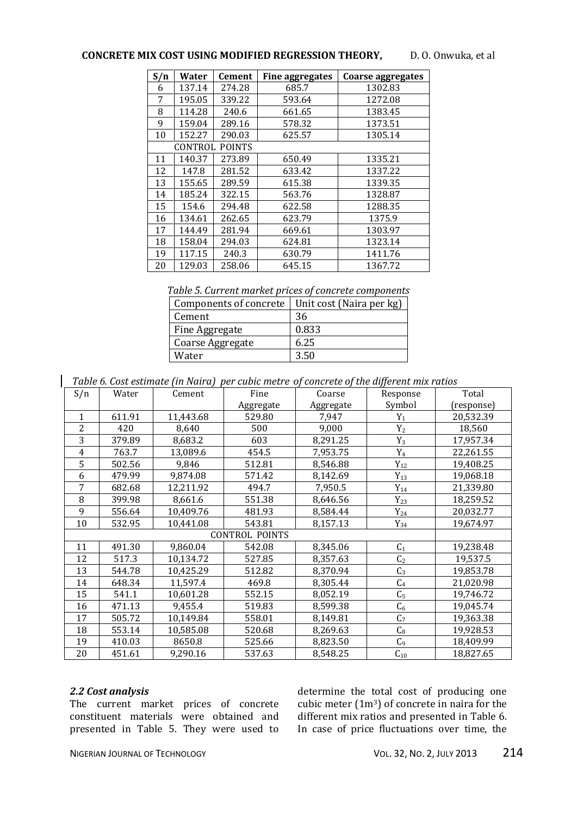## **CONCRETE MIX COST USING MODIFIED REGRESSION THEORY,** D. O. Onwuka, et al

| S/n | Water   | Cement        | Fine aggregates | Coarse aggregates |
|-----|---------|---------------|-----------------|-------------------|
| 6   | 137.14  | 274.28        | 685.7           | 1302.83           |
| 7   | 195.05  | 339.22        | 593.64          | 1272.08           |
| 8   | 114.28  | 240.6         | 661.65          | 1383.45           |
| 9   | 159.04  | 289.16        | 578.32          | 1373.51           |
| 10  | 152.27  | 290.03        | 625.57          | 1305.14           |
|     | CONTROL | <b>POINTS</b> |                 |                   |
| 11  | 140.37  | 273.89        | 650.49          | 1335.21           |
| 12  | 147.8   | 281.52        | 633.42          | 1337.22           |
| 13  | 155.65  | 289.59        | 615.38          | 1339.35           |
| 14  | 185.24  | 322.15        | 563.76          | 1328.87           |
| 15  | 154.6   | 294.48        | 622.58          | 1288.35           |
| 16  | 134.61  | 262.65        | 623.79          | 1375.9            |
| 17  | 144.49  | 281.94        | 669.61          | 1303.97           |
| 18  | 158.04  | 294.03        | 624.81          | 1323.14           |
| 19  | 117.15  | 240.3         | 630.79          | 1411.76           |
| 20  | 129.03  | 258.06        | 645.15          | 1367.72           |

*Table 5. Current market prices of concrete components*

| Components of concrete | Unit cost (Naira per kg) |
|------------------------|--------------------------|
| Cement                 | 36                       |
| Fine Aggregate         | 0.833                    |
| Coarse Aggregate       | 6.25                     |
| Water                  | 3.50                     |

*Table 6. Cost estimate (in Naira) per cubic metre of concrete of the different mix ratios*

| S/n            | Water  | Cement    | Fine                  | Coarse    | Response       | Total      |
|----------------|--------|-----------|-----------------------|-----------|----------------|------------|
|                |        |           | Aggregate             | Aggregate | Symbol         | (response) |
| $\mathbf{1}$   | 611.91 | 11,443.68 | 529.80                | 7,947     | $Y_1$          | 20,532.39  |
| $\overline{2}$ | 420    | 8,640     | 500                   | 9,000     | $Y_2$          | 18,560     |
| 3              | 379.89 | 8,683.2   | 603                   | 8,291.25  | $Y_3$          | 17,957.34  |
| 4              | 763.7  | 13,089.6  | 454.5                 | 7,953.75  | $Y_4$          | 22,261.55  |
| 5              | 502.56 | 9,846     | 512.81                | 8,546.88  | $Y_{12}$       | 19,408.25  |
| 6              | 479.99 | 9,874.08  | 571.42                | 8,142.69  | $Y_{13}$       | 19,068.18  |
| 7              | 682.68 | 12,211.92 | 494.7                 | 7,950.5   | $Y_{14}$       | 21,339.80  |
| 8              | 399.98 | 8,661.6   | 551.38                | 8,646.56  | $Y_{23}$       | 18,259.52  |
| 9              | 556.64 | 10,409.76 | 481.93                | 8,584.44  | $Y_{24}$       | 20,032.77  |
| 10             | 532.95 | 10,441.08 | 543.81                | 8,157.13  | $Y_{34}$       | 19,674.97  |
|                |        |           | <b>CONTROL POINTS</b> |           |                |            |
| 11             | 491.30 | 9,860.04  | 542.08                | 8,345.06  | C <sub>1</sub> | 19,238.48  |
| 12             | 517.3  | 10,134.72 | 527.85                | 8,357.63  | C <sub>2</sub> | 19,537.5   |
| 13             | 544.78 | 10,425.29 | 512.82                | 8,370.94  | $C_3$          | 19,853.78  |
| 14             | 648.34 | 11,597.4  | 469.8                 | 8,305.44  | C <sub>4</sub> | 21,020.98  |
| 15             | 541.1  | 10,601.28 | 552.15                | 8,052.19  | C <sub>5</sub> | 19,746.72  |
| 16             | 471.13 | 9,455.4   | 519.83                | 8,599.38  | $C_6$          | 19,045.74  |
| 17             | 505.72 | 10,149.84 | 558.01                | 8,149.81  | C <sub>7</sub> | 19,363.38  |
| 18             | 553.14 | 10,585.08 | 520.68                | 8,269.63  | C <sub>8</sub> | 19,928.53  |
| 19             | 410.03 | 8650.8    | 525.66                | 8,823.50  | C <sub>9</sub> | 18,409.99  |
| 20             | 451.61 | 9,290.16  | 537.63                | 8,548.25  | $C_{10}$       | 18,827.65  |

#### *2.2 Cost analysis*

The current market prices of concrete constituent materials were obtained and presented in Table 5. They were used to determine the total cost of producing one cubic meter (1m3) of concrete in naira for the different mix ratios and presented in Table 6. In case of price fluctuations over time, the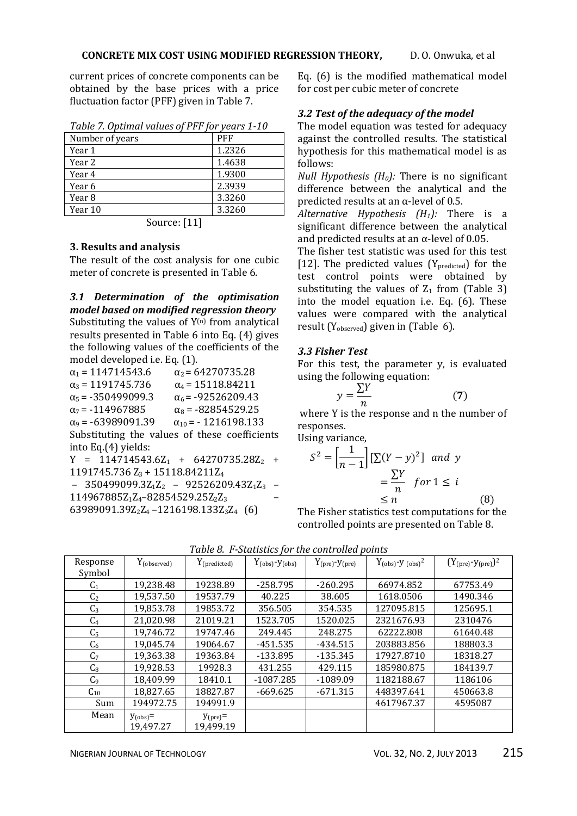current prices of concrete components can be obtained by the base prices with a price fluctuation factor (PFF) given in Table 7.

| Table 7. Optimul values of FFF for years 1-10 |            |
|-----------------------------------------------|------------|
| Number of years                               | <b>PFF</b> |
| Year 1                                        | 1.2326     |
| Year 2                                        | 1.4638     |
| Year 4                                        | 1.9300     |
| Year 6                                        | 2.3939     |
| Year 8                                        | 3.3260     |
| Year 10                                       | 3.3260     |
|                                               |            |

| Table 7. Optimal values of PFF for years 1-10 |  |  |  |
|-----------------------------------------------|--|--|--|
|                                               |  |  |  |

Source: [11]

## **3. Results and analysis**

The result of the cost analysis for one cubic meter of concrete is presented in Table 6.

*3.1 Determination of the optimisation model based on modified regression theory* Substituting the values of  $Y^{(n)}$  from analytical results presented in Table 6 into Eq. (4) gives the following values of the coefficients of the model developed i.e. Eq. (1).

| $\alpha_1$ = 114714543.6              | $\alpha_2$ = 64270735.28                      |
|---------------------------------------|-----------------------------------------------|
| $\alpha_3$ = 1191745.736              | $\alpha_4$ = 15118.84211                      |
| $\alpha_5$ = -350499099.3             | $\alpha_6$ = -92526209.43                     |
| $\alpha_7$ = -114967885               | $\alpha_8$ = -82854529.25                     |
| $\alpha_9$ = -63989091.39             | $\alpha_{10}$ = -1216198.133                  |
|                                       | Substituting the values of these coefficients |
| into Eq.(4) yields:                   |                                               |
|                                       | $Y = 114714543.6Z_1 + 64270735.28Z_2 +$       |
| 1191745.736 $Z_3$ + 15118.84211 $Z_4$ |                                               |
|                                       | 25010000027                                   |

– 350499099.3Z1Z<sup>2</sup> – 92526209.43Z1Z<sup>3</sup> – 114967885Z1Z4–82854529.25Z2Z<sup>3</sup> – 63989091.39 $Z_2Z_4$  –1216198.133 $Z_3Z_4$  (6)

Eq. (6) is the modified mathematical model for cost per cubic meter of concrete

# *3.2 Test of the adequacy of the model*

The model equation was tested for adequacy against the controlled results. The statistical hypothesis for this mathematical model is as follows:

*Null Hypothesis (H0):* There is no significant difference between the analytical and the predicted results at an  $\alpha$ -level of 0.5.

*Alternative Hypothesis (H1):* There is a significant difference between the analytical and predicted results at an  $\alpha$ -level of 0.05.

The fisher test statistic was used for this test [12]. The predicted values  $(Y_{predicted})$  for the test control points were obtained by substituting the values of  $Z_1$  from (Table 3) into the model equation i.e. Eq. (6). These values were compared with the analytical result  $(Y_{observed})$  given in (Table 6).

# *3.3 Fisher Test*

For this test, the parameter y, is evaluated using the following equation:

$$
y = \frac{\sum Y}{n}
$$
 (7)

where Y is the response and n the number of responses.

Using variance,

$$
S^{2} = \left[\frac{1}{n-1}\right] \left[\sum (Y - y)^{2}\right] \text{ and } y
$$

$$
= \frac{\sum Y}{n} \text{ for } 1 \leq i
$$

$$
\leq n \tag{8}
$$

The Fisher statistics test computations for the controlled points are presented on Table 8.

| Response       | $Y_{(observed)}$           | $Y_{(predicted)}$              | $Y_{\text{(obs)}} - y_{\text{(obs)}}$ | $Y_{\rm (pre)}\text{-}y_{\rm (pre)}$ | $Y_{\text{(obs)}}$ -y $_{\text{(obs)}}^2$ | $(Y_{(\text{pre})} - y_{(\text{pre})})^2$ |
|----------------|----------------------------|--------------------------------|---------------------------------------|--------------------------------------|-------------------------------------------|-------------------------------------------|
| Symbol         |                            |                                |                                       |                                      |                                           |                                           |
| C <sub>1</sub> | 19,238.48                  | 19238.89                       | $-258.795$                            | $-260.295$                           | 66974.852                                 | 67753.49                                  |
| C <sub>2</sub> | 19,537.50                  | 19537.79                       | 40.225                                | 38.605                               | 1618.0506                                 | 1490.346                                  |
| $C_3$          | 19,853.78                  | 19853.72                       | 356.505                               | 354.535                              | 127095.815                                | 125695.1                                  |
| C <sub>4</sub> | 21,020.98                  | 21019.21                       | 1523.705                              | 1520.025                             | 2321676.93                                | 2310476                                   |
| C <sub>5</sub> | 19,746.72                  | 19747.46                       | 249.445                               | 248.275                              | 62222.808                                 | 61640.48                                  |
| C <sub>6</sub> | 19,045.74                  | 19064.67                       | -451.535                              | -434.515                             | 203883.856                                | 188803.3                                  |
| C <sub>7</sub> | 19,363.38                  | 19363.84                       | $-133.895$                            | $-135.345$                           | 17927.8710                                | 18318.27                                  |
| C <sub>8</sub> | 19,928.53                  | 19928.3                        | 431.255                               | 429.115                              | 185980.875                                | 184139.7                                  |
| C <sub>9</sub> | 18,409.99                  | 18410.1                        | $-1087.285$                           | $-1089.09$                           | 1182188.67                                | 1186106                                   |
| $C_{10}$       | 18,827.65                  | 18827.87                       | $-669.625$                            | $-671.315$                           | 448397.641                                | 450663.8                                  |
| Sum            | 194972.75                  | 194991.9                       |                                       |                                      | 4617967.37                                | 4595087                                   |
| Mean           | $y_{(obs)} =$<br>19,497.27 | $y_{\rm (pre)} =$<br>19,499.19 |                                       |                                      |                                           |                                           |

*Table 8. F-Statistics for the controlled points*